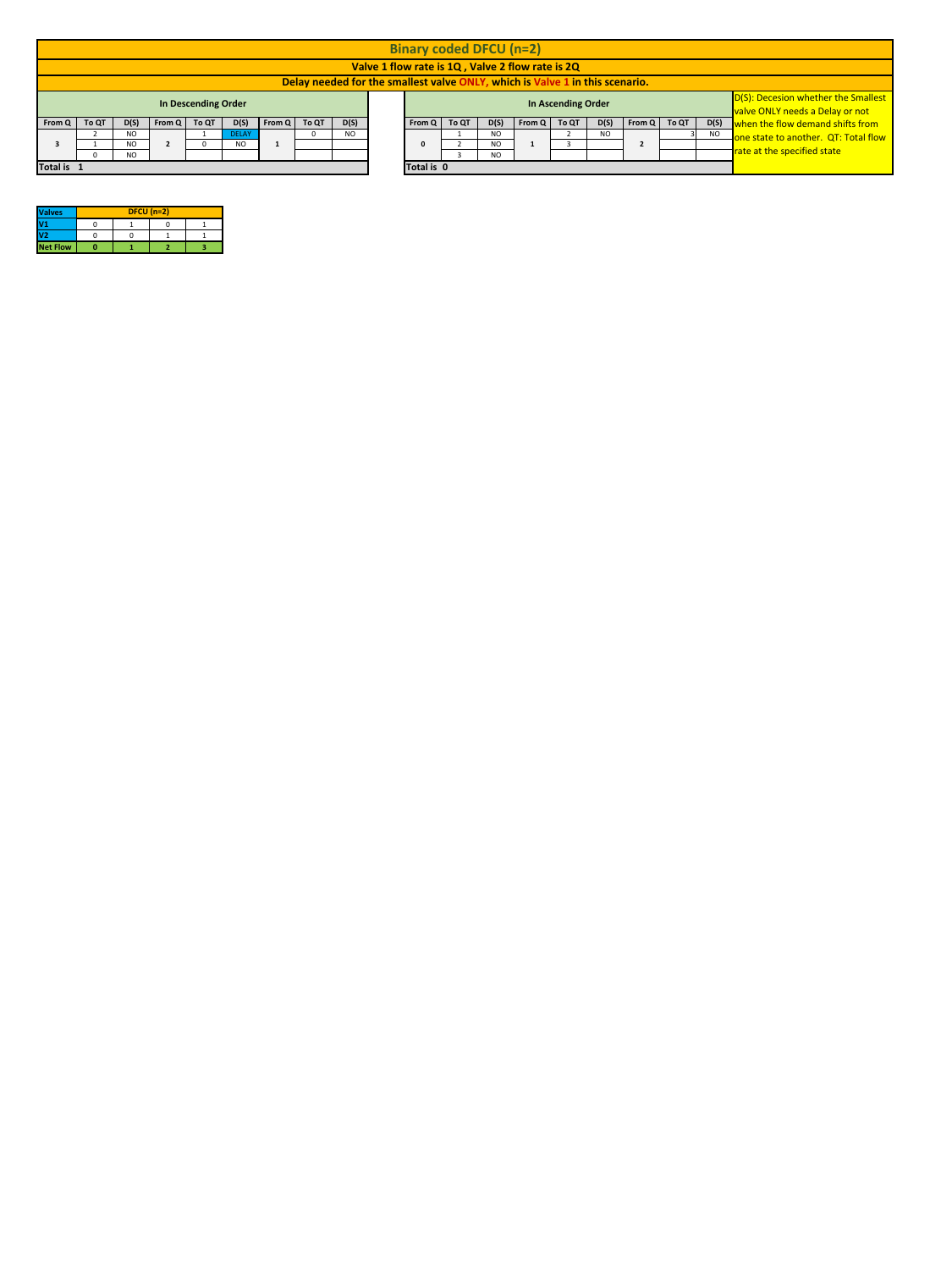| <b>Valves</b>   | $DFCU (n=2)$ |  |
|-----------------|--------------|--|
|                 |              |  |
| V <sub>2</sub>  |              |  |
| <b>Net Flow</b> |              |  |

|                        |       |           |        |                            |              |        |       |      | <b>Binary coded DFCU (n=2)</b> |       |           |                                                                              |                           |      |                                                                         |           |                                                                        |
|------------------------|-------|-----------|--------|----------------------------|--------------|--------|-------|------|--------------------------------|-------|-----------|------------------------------------------------------------------------------|---------------------------|------|-------------------------------------------------------------------------|-----------|------------------------------------------------------------------------|
|                        |       |           |        |                            |              |        |       |      |                                |       |           | Valve 1 flow rate is 1Q, Valve 2 flow rate is 2Q                             |                           |      |                                                                         |           |                                                                        |
|                        |       |           |        |                            |              |        |       |      |                                |       |           | Delay needed for the smallest valve ONLY, which is Valve 1 in this scenario. |                           |      |                                                                         |           |                                                                        |
|                        |       |           |        | <b>In Descending Order</b> |              |        |       |      |                                |       |           |                                                                              | <b>In Ascending Order</b> |      |                                                                         |           | D(S): Decesion whether the Smallest<br>valve ONLY needs a Delay or not |
| $\vert$ From Q $\vert$ | To QT | D(S)      | From Q | To QT                      | D(S)         | From Q | To QT | D(S) | From Q                         | To QT | D(S)      | From Q                                                                       | To QT                     | D(S) | $\mathsf{From} \, \mathsf{Q} \mid \mathsf{To} \, \mathsf{Q} \mathsf{T}$ |           | D(S) when the flow demand shifts from                                  |
|                        |       | NO.       |        |                            | <b>DELAY</b> |        |       | NO.  |                                |       | NO.       |                                                                              |                           | NO.  |                                                                         | <b>NO</b> | one state to another. QT: Total flow                                   |
|                        |       | <b>NO</b> |        |                            | <b>NO</b>    |        |       |      |                                |       | <b>NO</b> |                                                                              |                           |      |                                                                         |           |                                                                        |
|                        |       | <b>NO</b> |        |                            |              |        |       |      |                                |       | NO.       |                                                                              |                           |      |                                                                         |           | T <sub>rate at the specified state</sub>                               |
| Total is 1             |       |           |        |                            |              |        |       |      | Total is 0                     |       |           |                                                                              |                           |      |                                                                         |           |                                                                        |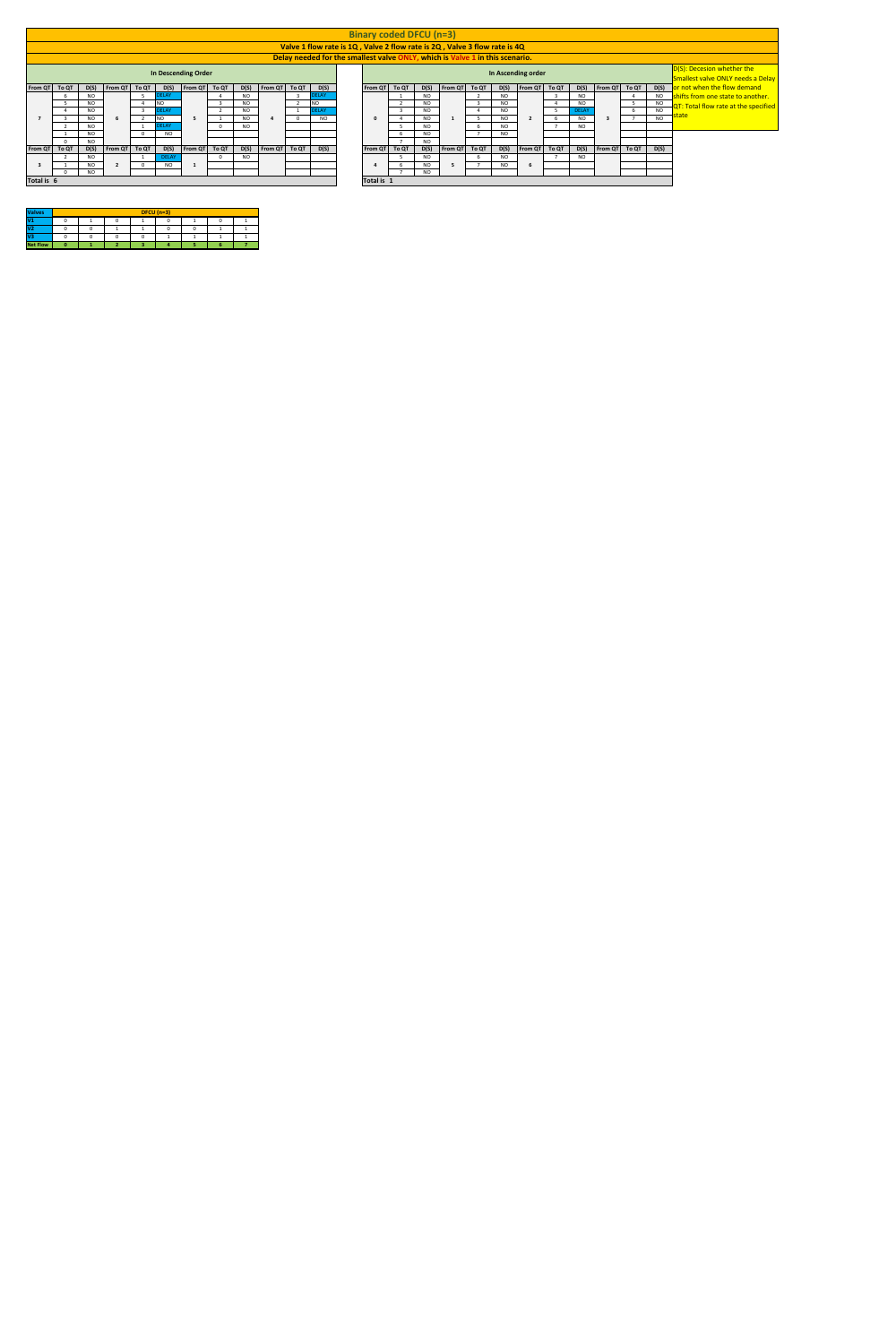|               |                                                                  |                                                                                                      |                                       |       |              |                               |       |           |         |       |                 |  | <b>Binary coded DFCU (n=3)</b> |       |           |                                                                              |           |                                       |       |              |                               |       |           |                                                                 |  |  |  |  |  |  |  |  |  |  |
|---------------|------------------------------------------------------------------|------------------------------------------------------------------------------------------------------|---------------------------------------|-------|--------------|-------------------------------|-------|-----------|---------|-------|-----------------|--|--------------------------------|-------|-----------|------------------------------------------------------------------------------|-----------|---------------------------------------|-------|--------------|-------------------------------|-------|-----------|-----------------------------------------------------------------|--|--|--|--|--|--|--|--|--|--|
|               |                                                                  |                                                                                                      |                                       |       |              |                               |       |           |         |       |                 |  |                                |       |           | Valve 1 flow rate is 1Q, Valve 2 flow rate is 2Q, Valve 3 flow rate is 4Q    |           |                                       |       |              |                               |       |           |                                                                 |  |  |  |  |  |  |  |  |  |  |
|               |                                                                  |                                                                                                      |                                       |       |              |                               |       |           |         |       |                 |  |                                |       |           | Delay needed for the smallest valve ONLY, which is Valve 1 in this scenario. |           |                                       |       |              |                               |       |           |                                                                 |  |  |  |  |  |  |  |  |  |  |
|               |                                                                  |                                                                                                      |                                       |       |              | <b>In Descending Order</b>    |       |           |         |       |                 |  |                                |       |           |                                                                              |           | In Ascending order                    |       |              |                               |       |           | D(S): Decesion whether the<br>Smallest valve ONLY needs a Delay |  |  |  |  |  |  |  |  |  |  |
| From QT       | To QT                                                            | D(S)                                                                                                 | From QT                               | To QT | D(S)         | $\vert$ From QT $\vert$       | To QT | D(S)      | From QT | To QT | D(S)            |  | From QT                        | To QT | D(S)      | From QT To QT                                                                | D(S)      | $\vert$ From QT $\vert$               | To QT | D(S)         | $\vert$ From QT $\vert$       | To QT |           | D(S) or not when the flow demand                                |  |  |  |  |  |  |  |  |  |  |
|               |                                                                  | <b>NO</b>                                                                                            |                                       |       | <b>ELAY</b>  |                               |       | <b>NO</b> |         |       | <b>DELAY</b>    |  |                                |       | <b>NO</b> |                                                                              | <b>NO</b> |                                       |       | <b>NO</b>    |                               |       | <b>NO</b> | Shifts from one state to another.                               |  |  |  |  |  |  |  |  |  |  |
|               |                                                                  | <b>NO</b>                                                                                            |                                       |       | <b>NO</b>    |                               |       | <b>NO</b> |         |       | NO <sub>1</sub> |  |                                |       | <b>NO</b> |                                                                              | <b>NO</b> |                                       |       | <b>NO</b>    |                               |       | <b>NO</b> | $-\sqrt{\text{QT: Total flow rate at the specified}}$           |  |  |  |  |  |  |  |  |  |  |
|               |                                                                  | <b>NO</b>                                                                                            |                                       |       | <b>DELAY</b> |                               |       | <b>NO</b> |         |       | <b>DELAY</b>    |  |                                |       | <b>NO</b> |                                                                              | <b>NO</b> |                                       |       | <b>DELAY</b> |                               |       | <b>NO</b> | state                                                           |  |  |  |  |  |  |  |  |  |  |
|               |                                                                  | <b>NO</b><br><b>NO</b><br><b>NO</b><br><b>NO</b><br><b>NO</b><br><b>NO</b><br><b>NO</b><br><b>NO</b> |                                       |       |              |                               |       |           |         |       |                 |  |                                |       |           |                                                                              |           |                                       |       |              |                               |       |           |                                                                 |  |  |  |  |  |  |  |  |  |  |
|               | <b>DELAY</b><br><b>NO</b><br><b>NO</b><br><b>NO</b><br><b>NO</b> |                                                                                                      |                                       |       |              |                               |       |           |         |       |                 |  |                                |       |           |                                                                              | <b>NO</b> |                                       |       |              |                               |       |           |                                                                 |  |  |  |  |  |  |  |  |  |  |
|               |                                                                  | <b>NO</b>                                                                                            |                                       |       | <b>NO</b>    |                               |       |           |         |       |                 |  |                                |       | <b>NO</b> |                                                                              | <b>NO</b> |                                       |       |              |                               |       |           |                                                                 |  |  |  |  |  |  |  |  |  |  |
|               |                                                                  | <b>NO</b>                                                                                            |                                       |       |              |                               |       |           |         |       |                 |  |                                |       | <b>NO</b> |                                                                              |           |                                       |       |              |                               |       |           |                                                                 |  |  |  |  |  |  |  |  |  |  |
| From QT To QT |                                                                  | D(S)                                                                                                 | $\blacksquare$ From QT $\blacksquare$ | To QT | D(S)         | $\vert$ From QT $\vert$ To QT |       | D(S)      | From QT | To QT | D(S)            |  | From QT To QT                  |       | D(S)      | $\blacksquare$ From QT $\blacksquare$ To QT                                  | D(S)      | $\blacksquare$ From QT $\blacksquare$ | To QT | D(S)         | $\vert$ From QT $\vert$ To QT |       | D(S)      |                                                                 |  |  |  |  |  |  |  |  |  |  |
|               |                                                                  | <b>NO</b>                                                                                            |                                       |       | <b>DELAY</b> |                               |       | <b>NO</b> |         |       |                 |  |                                |       | NO        |                                                                              | <b>NO</b> |                                       |       | NO           |                               |       |           |                                                                 |  |  |  |  |  |  |  |  |  |  |
|               | <b>NO</b><br><b>NO</b>                                           |                                                                                                      |                                       |       |              |                               |       |           |         |       |                 |  |                                |       | <b>NO</b> |                                                                              | <b>NO</b> |                                       |       |              |                               |       |           |                                                                 |  |  |  |  |  |  |  |  |  |  |
|               | <b>NO</b>                                                        |                                                                                                      |                                       |       |              |                               |       |           |         |       |                 |  |                                |       | <b>NO</b> |                                                                              |           |                                       |       |              |                               |       |           |                                                                 |  |  |  |  |  |  |  |  |  |  |
| Total is 6    |                                                                  |                                                                                                      |                                       |       |              |                               |       |           |         |       |                 |  | Total is 1                     |       |           |                                                                              |           |                                       |       |              |                               |       |           |                                                                 |  |  |  |  |  |  |  |  |  |  |

| <b>Valves</b>            | $DFCU(n=3)$ |  |  |  |  |  |  |  |  |  |  |  |  |  |
|--------------------------|-------------|--|--|--|--|--|--|--|--|--|--|--|--|--|
| $\overline{\mathsf{V1}}$ |             |  |  |  |  |  |  |  |  |  |  |  |  |  |
| V <sub>2</sub>           |             |  |  |  |  |  |  |  |  |  |  |  |  |  |
| $\bf V3$                 |             |  |  |  |  |  |  |  |  |  |  |  |  |  |
| <b>Net Flow</b>          |             |  |  |  |  |  |  |  |  |  |  |  |  |  |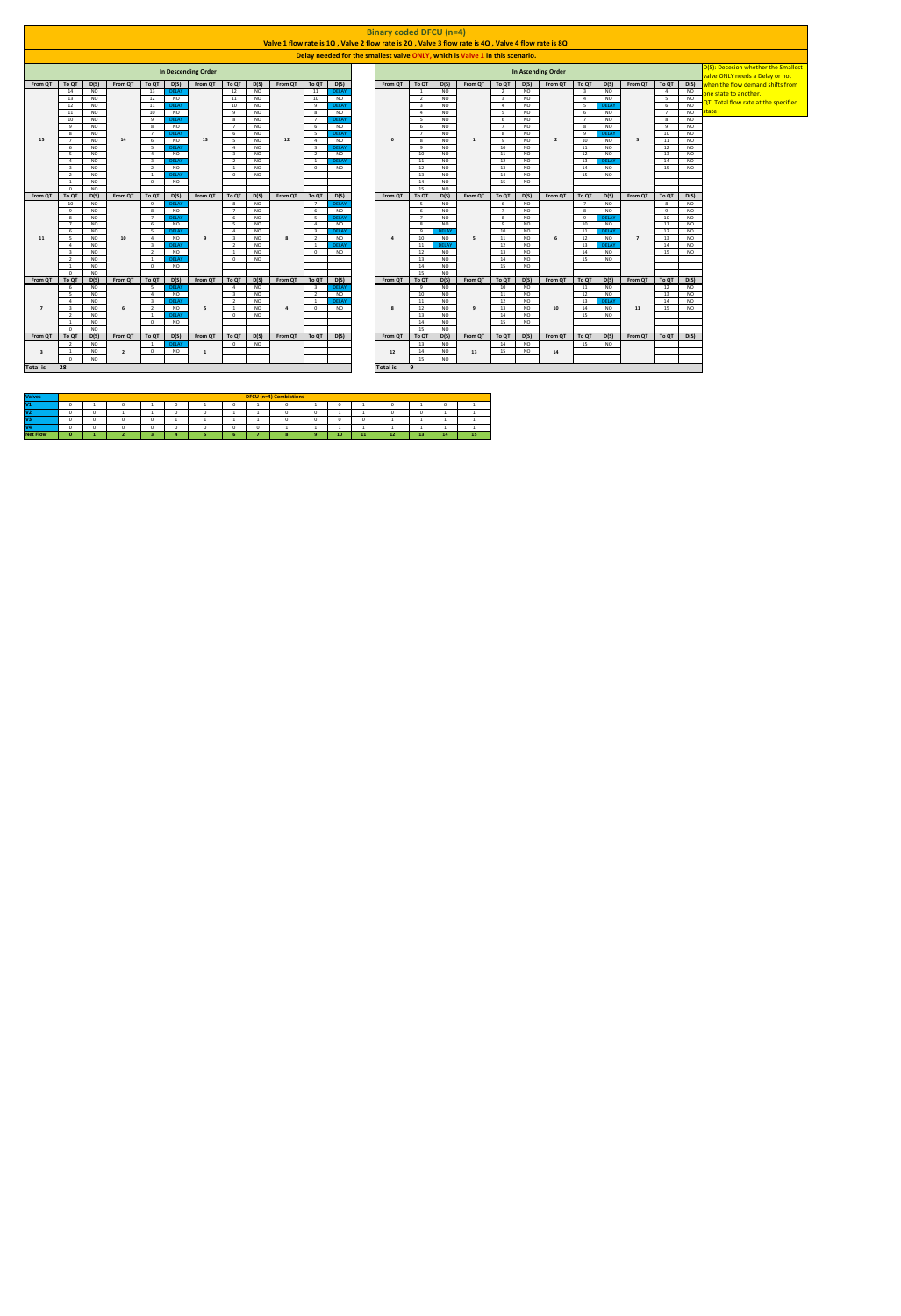|             |                                                                                                                                                                                                                                                                                           |                           |         |                                |                            |                                               |                                   |         |              |                           |   | <b>Binary coded DFCU (n=4)</b>                                                                     |                          |                        |                        |                |                        |                           |           |                                |                        |                |                        |                                                                        |
|-------------|-------------------------------------------------------------------------------------------------------------------------------------------------------------------------------------------------------------------------------------------------------------------------------------------|---------------------------|---------|--------------------------------|----------------------------|-----------------------------------------------|-----------------------------------|---------|--------------|---------------------------|---|----------------------------------------------------------------------------------------------------|--------------------------|------------------------|------------------------|----------------|------------------------|---------------------------|-----------|--------------------------------|------------------------|----------------|------------------------|------------------------------------------------------------------------|
|             |                                                                                                                                                                                                                                                                                           |                           |         |                                |                            |                                               |                                   |         |              |                           |   | Valve 1 flow rate is 1Q, Valve 2 flow rate is 2Q, Valve 3 flow rate is 4Q, Valve 4 flow rate is 8Q |                          |                        |                        |                |                        |                           |           |                                |                        |                |                        |                                                                        |
|             |                                                                                                                                                                                                                                                                                           |                           |         |                                |                            |                                               |                                   |         |              |                           |   | Delay needed for the smallest valve ONLY, which is Valve 1 in this scenario.                       |                          |                        |                        |                |                        |                           |           |                                |                        |                |                        |                                                                        |
|             |                                                                                                                                                                                                                                                                                           |                           |         |                                | <b>In Descending Order</b> |                                               |                                   |         |              |                           |   |                                                                                                    |                          |                        |                        |                |                        | In Ascending Order        |           |                                |                        |                |                        | D(S): Decesion whether the Smallest<br>valve ONLY needs a Delay or not |
| From QT     | To QT                                                                                                                                                                                                                                                                                     | D(S)                      | From QT | To QT<br>D(S)                  | From QT                    |                                               | <b>To QT</b><br>D(S)              | From QT | To QT        | D(S)                      |   | From QT                                                                                            | To QT                    | D(S)                   | <b>From QT</b>         | To QT          | D(S)                   | From QT                   | To QT     | D(S)                           | From QT                | To QT          | D(S)                   | when the flow demand shifts from                                       |
|             | 14                                                                                                                                                                                                                                                                                        | <b>NO</b>                 |         | 13<br><b>DELAY</b>             |                            |                                               | 12<br><b>NO</b>                   |         | 11           | <b>DELAY</b>              |   |                                                                                                    |                          | NO                     |                        |                | NO                     |                           |           | <b>NO</b>                      |                        | $\overline{4}$ | <b>NO</b>              | one state to another.                                                  |
|             | 13                                                                                                                                                                                                                                                                                        | <b>NO</b>                 |         | 12                             | <b>NO</b>                  |                                               | <b>NO</b><br>11                   |         | 10<br>Q      | <b>NO</b><br><b>DELAY</b> |   |                                                                                                    | 2                        | <b>NO</b>              |                        | - 3            | <b>NO</b>              |                           |           | <b>NO</b>                      |                        | 5              | <b>NO</b>              | QT: Total flow rate at the specified                                   |
|             | 12<br>11                                                                                                                                                                                                                                                                                  | <b>NO</b><br><b>NO</b>    |         | <b>DELAY</b><br>11<br>10       | <b>NO</b>                  |                                               | 10<br><b>NO</b><br>9<br><b>NO</b> |         |              |                           |   | <b>NO</b><br><b>NO</b>                                                                             |                          | - 4<br>-5              | <b>NO</b><br><b>NO</b> |                |                        | <b>DELAY</b><br><b>NO</b> |           |                                | <b>NO</b><br><b>NO</b> | state I        |                        |                                                                        |
|             |                                                                                                                                                                                                                                                                                           | <b>NO</b><br><b>DELAY</b> |         |                                | - 5                        | <b>NO</b>                                     |                                   |         | <b>NO</b>    |                           |   | <b>NO</b>                                                                                          |                          | 8                      | <b>NO</b>              |                |                        |                           |           |                                |                        |                |                        |                                                                        |
|             | 10<br>$\mathbf{q}$                                                                                                                                                                                                                                                                        | <b>NO</b><br><b>NO</b>    |         | <b>q</b><br><b>DELAY</b><br>-8 | <b>NO</b>                  | <b>NO</b><br>8<br>$\overline{7}$<br><b>NO</b> |                                   |         | 6            | <b>NO</b>                 |   | - 7                                                                                                | <b>NO</b>                |                        | 8                      | <b>NO</b>      |                        | 9                         | <b>NO</b> |                                |                        |                |                        |                                                                        |
|             | <b>NO</b>                                                                                                                                                                                                                                                                                 |                           |         |                                |                            | <b>NO</b>                                     |                                   | -8      | <b>NO</b>    |                           | 9 | <b>DELAY</b>                                                                                       |                          | 10                     | <b>NO</b>              |                |                        |                           |           |                                |                        |                |                        |                                                                        |
| 15          | <b>NO</b><br><b>DELAY</b><br><b>DELAY</b><br>6<br>13<br>12<br><b>NO</b><br><b>NO</b><br>14<br><b>NO</b><br><b>NO</b><br><b>NO</b><br>$5\overline{)}$<br>8<br>- 0                                                                                                                          |                           |         |                                |                            |                                               |                                   |         |              |                           |   |                                                                                                    |                          |                        |                        | <b>Q</b>       | <b>NO</b>              | $\overline{\phantom{a}}$  | 10        | <b>NO</b>                      |                        | 11             | <b>NO</b>              |                                                                        |
|             | <b>NO</b><br><b>DELAY</b><br><b>NO</b><br><b>NO</b><br><b>NO</b><br><b>DELAY</b><br>10<br>11<br>-4<br>9                                                                                                                                                                                   |                           |         |                                |                            |                                               |                                   |         |              |                           |   |                                                                                                    |                          |                        |                        | <b>NO</b>      |                        | 12                        | <b>NO</b> |                                |                        |                |                        |                                                                        |
|             | <b>NO</b><br><b>NO</b><br>13<br><b>NO</b><br>NO.<br>$\overline{\mathbf{3}}$<br>10<br><b>NO</b><br><b>NO</b><br>12<br>NO.<br>11<br><b>NO</b><br><b>NO</b><br><b>DELAY</b><br><b>NO</b><br>12<br><b>NO</b><br>13<br>14<br><b>NO</b><br><b>DELAY</b><br>$\overline{2}$<br>11<br><b>DELAY</b> |                           |         |                                |                            |                                               |                                   |         |              |                           |   |                                                                                                    |                          |                        |                        | <b>NO</b>      |                        |                           |           |                                |                        |                |                        |                                                                        |
|             | <b>NO</b><br><b>NO</b><br><b>NO</b><br><b>NO</b><br><b>NO</b><br>12<br><b>NO</b><br>13<br>14<br>$\mathbf{1}$<br>$\mathbf{0}$                                                                                                                                                              |                           |         |                                |                            |                                               |                                   |         |              |                           |   |                                                                                                    |                          |                        |                        |                | <b>NO</b>              |                           | 15        | <b>NO</b>                      |                        |                |                        |                                                                        |
|             |                                                                                                                                                                                                                                                                                           | <b>NO</b>                 |         | <b>DELAY</b>                   |                            |                                               | <b>NO</b><br>- 0                  |         |              |                           |   | 13                                                                                                 | <b>NO</b>                |                        | 14                     | <b>NO</b>      |                        | 15                        | <b>NO</b> |                                |                        |                |                        |                                                                        |
|             |                                                                                                                                                                                                                                                                                           | <b>NO</b>                 |         |                                | <b>NO</b>                  |                                               |                                   |         |              |                           |   |                                                                                                    | 14                       | <b>NO</b>              |                        | 15             | <b>NO</b>              |                           |           |                                |                        |                |                        |                                                                        |
|             | $\cap$                                                                                                                                                                                                                                                                                    | <b>NO</b>                 |         |                                |                            |                                               |                                   |         |              |                           |   |                                                                                                    | 15                       | <b>NO</b>              |                        |                |                        |                           |           |                                |                        |                |                        |                                                                        |
| From QT     | To QT                                                                                                                                                                                                                                                                                     | D(S)                      | From QT | To QT<br>D(S)                  | From QT                    |                                               | D(S)<br>To QT                     | From QT | $ $ To QT    | D(S)                      |   | From QT                                                                                            | To QT                    | D(S)                   | From QT                | To QT          | D(S)                   | From QT                   | To QT     | D(S)                           | From QT                | To QT          | D(S)                   |                                                                        |
|             | 10                                                                                                                                                                                                                                                                                        | <b>NO</b>                 |         | <b>DELAY</b><br>- 9            |                            |                                               | <b>NO</b><br>-8                   |         |              | <b>DELAY</b>              |   |                                                                                                    |                          | <b>NO</b>              |                        |                | <b>NO</b>              |                           |           | <b>NO</b>                      |                        |                | <b>NO</b>              |                                                                        |
|             | -9                                                                                                                                                                                                                                                                                        | <b>NO</b>                 |         |                                | <b>NO</b>                  |                                               | <b>NO</b><br>$\overline{7}$       |         |              | <b>NO</b>                 |   |                                                                                                    | 6                        | <b>NO</b>              |                        | $\overline{z}$ | <b>NO</b>              |                           | - 8       | <b>NO</b>                      |                        | <b>q</b>       | <b>NO</b>              |                                                                        |
|             | - 8                                                                                                                                                                                                                                                                                       | <b>NO</b><br><b>NO</b>    |         | <b>DELAY</b>                   | <b>NO</b>                  |                                               | <b>NO</b><br>6<br><b>NO</b><br>5  |         |              | <b>DELAY</b><br><b>NO</b> |   |                                                                                                    | 8                        | <b>NO</b><br><b>NO</b> |                        | -8<br><b>Q</b> | <b>NO</b><br><b>NO</b> |                           | - 9<br>10 | DELA <sup>®</sup><br><b>NO</b> |                        | 10<br>11       | <b>NO</b><br><b>NO</b> |                                                                        |
|             |                                                                                                                                                                                                                                                                                           | <b>NO</b>                 |         | <b>DELAY</b>                   |                            |                                               | <b>NO</b>                         |         |              | <b>DELAY</b>              |   |                                                                                                    | 9                        | <b>DELAY</b>           |                        | 10             | <b>NO</b>              |                           | 11        | <b>DELAY</b>                   |                        | 12             | <b>NO</b>              |                                                                        |
| <b>11</b>   |                                                                                                                                                                                                                                                                                           | NO                        | 10      |                                | NO                         |                                               | <b>NO</b>                         |         |              | <b>NO</b>                 |   |                                                                                                    | 10 <sup>1</sup>          | NO                     |                        | 11             | <b>NO</b>              |                           | 12        | NO.                            |                        | 13             | NO                     |                                                                        |
|             |                                                                                                                                                                                                                                                                                           | NO.                       |         | <b>DELAY</b>                   |                            |                                               | <b>NO</b><br>$\overline{2}$       |         |              | <b>DELAY</b>              |   |                                                                                                    | 11                       | <b>DELAY</b>           |                        | 12             | <b>NO</b>              |                           | 13        | <b>DELAY</b>                   |                        | 14             | <b>NO</b>              |                                                                        |
|             |                                                                                                                                                                                                                                                                                           | <b>NO</b>                 |         |                                | <b>NO</b>                  |                                               | <b>NO</b><br>$\mathbf{1}$         |         | 0            | <b>NO</b>                 |   |                                                                                                    | 12                       | <b>NO</b>              |                        | 13             | <b>NO</b>              |                           | 14        | <b>NO</b>                      |                        | 15             | <b>NO</b>              |                                                                        |
|             | ຳ                                                                                                                                                                                                                                                                                         | NO                        |         | <b>DELAY</b>                   |                            |                                               | റ<br>NO                           |         |              |                           |   |                                                                                                    | 13                       | NO                     |                        | 14             | NO                     |                           | 15        | NO.                            |                        |                |                        |                                                                        |
|             |                                                                                                                                                                                                                                                                                           | NO                        |         |                                | <b>NO</b>                  |                                               |                                   |         |              |                           |   |                                                                                                    | 14                       | <b>NO</b>              |                        | 15             | <b>NO</b>              |                           |           |                                |                        |                |                        |                                                                        |
| From QT     | To QT                                                                                                                                                                                                                                                                                     | <b>NO</b><br>D(S)         | From QT |                                | <b>From QT</b>             |                                               | D(S)<br>To QT                     | From QT | To QT        |                           |   | From QT                                                                                            | 15<br>To QT              | <b>NO</b>              | From QT                | To QT          |                        |                           | To QT     |                                | <b>From QT</b>         | To QT          |                        |                                                                        |
|             | 6                                                                                                                                                                                                                                                                                         | <b>NO</b>                 |         | D(S)<br>To QT<br><b>DELAY</b>  |                            |                                               | <b>NO</b>                         |         |              | D(S)<br><b>DELAY</b>      |   |                                                                                                    | 9                        | D(S)<br>NO             |                        | 10             | D(S)<br>NO             | <b>From QT</b>            | 11        | D(S)<br>NO.                    |                        | 12             | D(S)<br><b>NO</b>      |                                                                        |
|             |                                                                                                                                                                                                                                                                                           | <b>NO</b>                 |         |                                | NO .                       |                                               | <b>NO</b>                         |         |              | <b>NO</b>                 |   |                                                                                                    | 10                       | <b>NO</b>              |                        | 11             | <b>NO</b>              |                           | 12        | <b>NO</b>                      |                        | 13             | <b>NO</b>              |                                                                        |
|             |                                                                                                                                                                                                                                                                                           | <b>NO</b>                 |         | <b>DELAY</b>                   |                            |                                               | <b>NO</b>                         |         |              | <b>DELAY</b>              |   |                                                                                                    | 11                       | <b>NO</b>              |                        | 12             | <b>NO</b>              |                           | 13        |                                |                        | 14             | <b>NO</b>              |                                                                        |
|             |                                                                                                                                                                                                                                                                                           | <b>NO</b>                 |         |                                | <b>NO</b>                  |                                               | <b>NO</b><br>$\mathbf{1}$         |         | $\mathbf{0}$ | <b>NO</b>                 |   |                                                                                                    | 12                       | <b>NO</b>              |                        | 13             | <b>NO</b>              | 10                        | 14        | NO                             | 11                     | 15             | <b>NO</b>              |                                                                        |
|             |                                                                                                                                                                                                                                                                                           | <b>NO</b>                 |         | <b>DELAY</b>                   |                            |                                               | <b>NO</b><br>$\Omega$             |         |              |                           |   |                                                                                                    | 13                       | <b>NO</b>              |                        | 14             | NO                     |                           | 15        | NO                             |                        |                |                        |                                                                        |
|             |                                                                                                                                                                                                                                                                                           | <b>NO</b>                 |         |                                | NO.                        |                                               |                                   |         |              |                           |   |                                                                                                    | 14                       | <b>NO</b>              |                        |                | NO                     |                           |           |                                |                        |                |                        |                                                                        |
| From QT     | റ<br>To QT                                                                                                                                                                                                                                                                                | <b>NO</b><br>D(S)         | From QT | To QT                          |                            |                                               | To QT<br>D(S)                     | From QT | To QT        | D(S)                      |   | <b>From QT</b>                                                                                     | 15 <sub>1</sub><br>To QT | <b>NO</b>              | From QT                | To QT          |                        | <b>From QT</b>            | To QT     |                                | From QT                | To QT          |                        |                                                                        |
|             | D(S)<br><b>From QT</b><br><b>NO</b><br><b>NO</b><br>DELAY                                                                                                                                                                                                                                 |                           |         |                                |                            |                                               |                                   |         |              |                           |   |                                                                                                    | 13                       | D(S)<br>NO             |                        | 14             | D(S)<br>NO             |                           | 15        | D(S)<br>NO.                    |                        |                | D(S)                   |                                                                        |
| - 3         |                                                                                                                                                                                                                                                                                           | <b>NO</b>                 |         |                                | NO .                       |                                               |                                   |         |              |                           |   | 12                                                                                                 | 14                       | NO                     | 13                     | 15             | <b>NO</b>              | 14                        |           |                                |                        |                |                        |                                                                        |
|             |                                                                                                                                                                                                                                                                                           | <b>NO</b>                 |         |                                |                            |                                               |                                   |         |              |                           |   |                                                                                                    | 15                       | <b>NO</b>              |                        |                |                        |                           |           |                                |                        |                |                        |                                                                        |
| Total is 28 |                                                                                                                                                                                                                                                                                           |                           |         |                                |                            |                                               |                                   |         |              |                           |   | Total is                                                                                           | 9                        |                        |                        |                |                        |                           |           |                                |                        |                |                        |                                                                        |
|             |                                                                                                                                                                                                                                                                                           |                           |         |                                |                            |                                               |                                   |         |              |                           |   |                                                                                                    |                          |                        |                        |                |                        |                           |           |                                |                        |                |                        |                                                                        |

| <b>Valves</b> |  |  |  |  | <b>DFCU (n=4) Combiations</b> |  |  |  |  |
|---------------|--|--|--|--|-------------------------------|--|--|--|--|
|               |  |  |  |  |                               |  |  |  |  |
|               |  |  |  |  |                               |  |  |  |  |
|               |  |  |  |  |                               |  |  |  |  |
|               |  |  |  |  |                               |  |  |  |  |

**Net Flow 0 1 2 3 4 5 6 7 8 9 10 11 12 13 14 15**